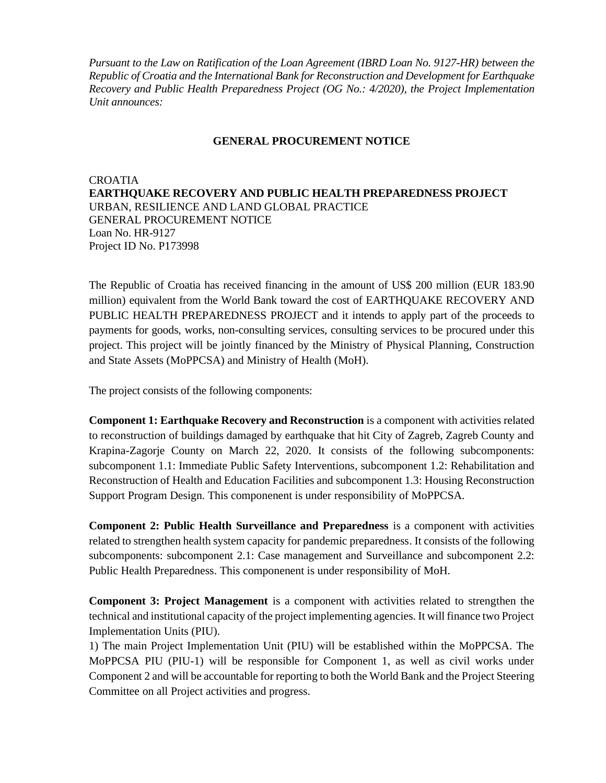*Pursuant to the Law on Ratification of the Loan Agreement (IBRD Loan No. 9127-HR) between the Republic of Croatia and the International Bank for Reconstruction and Development for Earthquake Recovery and Public Health Preparedness Project (OG No.: 4/2020), the Project Implementation Unit announces:*

## **GENERAL PROCUREMENT NOTICE**

CROATIA **EARTHQUAKE RECOVERY AND PUBLIC HEALTH PREPAREDNESS PROJECT** URBAN, RESILIENCE AND LAND GLOBAL PRACTICE GENERAL PROCUREMENT NOTICE Loan No. HR-9127 Project ID No. P173998

The Republic of Croatia has received financing in the amount of US\$ 200 million (EUR 183.90 million) equivalent from the World Bank toward the cost of EARTHQUAKE RECOVERY AND PUBLIC HEALTH PREPAREDNESS PROJECT and it intends to apply part of the proceeds to payments for goods, works, non-consulting services, consulting services to be procured under this project. This project will be jointly financed by the Ministry of Physical Planning, Construction and State Assets (MoPPCSA) and Ministry of Health (MoH).

The project consists of the following components:

**Component 1: Earthquake Recovery and Reconstruction** is a component with activities related to reconstruction of buildings damaged by earthquake that hit City of Zagreb, Zagreb County and Krapina-Zagorje County on March 22, 2020. It consists of the following subcomponents: subcomponent 1.1: Immediate Public Safety Interventions, subcomponent 1.2: Rehabilitation and Reconstruction of Health and Education Facilities and subcomponent 1.3: Housing Reconstruction Support Program Design. This componenent is under responsibility of MoPPCSA.

**Component 2: Public Health Surveillance and Preparedness** is a component with activities related to strengthen health system capacity for pandemic preparedness. It consists of the following subcomponents: subcomponent 2.1: Case management and Surveillance and subcomponent 2.2: Public Health Preparedness. This componenent is under responsibility of MoH.

**Component 3: Project Management** is a component with activities related to strengthen the technical and institutional capacity of the project implementing agencies. It will finance two Project Implementation Units (PIU).

1) The main Project Implementation Unit (PIU) will be established within the MoPPCSA. The MoPPCSA PIU (PIU-1) will be responsible for Component 1, as well as civil works under Component 2 and will be accountable for reporting to both the World Bank and the Project Steering Committee on all Project activities and progress.